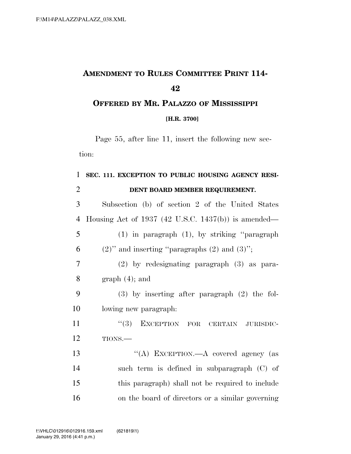## **AMENDMENT TO RULES COMMITTEE PRINT 114-**

## **OFFERED BY MR. PALAZZO OF MISSISSIPPI [H.R. 3700]**

Page 55, after line 11, insert the following new section:

## **SEC. 111. EXCEPTION TO PUBLIC HOUSING AGENCY RESI-DENT BOARD MEMBER REQUIREMENT.**

| 3  | Subsection (b) of section 2 of the United States     |
|----|------------------------------------------------------|
| 4  | Housing Act of 1937 (42 U.S.C. 1437(b)) is amended—  |
| 5  | $(1)$ in paragraph $(1)$ , by striking "paragraph"   |
| 6  | $(2)$ " and inserting "paragraphs $(2)$ and $(3)$ "; |
| 7  | $(2)$ by redesignating paragraph $(3)$ as para-      |
| 8  | $graph(4)$ ; and                                     |
| 9  | $(3)$ by inserting after paragraph $(2)$ the fol-    |
| 10 | lowing new paragraph.                                |
| 11 | $``(3)$ EXCEPTION FOR CERTAIN<br>JURISDIC-           |
| 12 | TIONS.-                                              |
| 13 | "(A) EXCEPTION.—A covered agency (as                 |
| 14 | such term is defined in subparagraph (C) of          |
| 15 | this paragraph) shall not be required to include     |

on the board of directors or a similar governing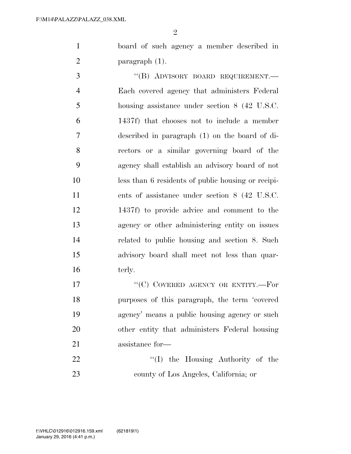$\mathfrak{D}$ 

 board of such agency a member described in paragraph (1).

3 "(B) ADVISORY BOARD REQUIREMENT. Each covered agency that administers Federal housing assistance under section 8 (42 U.S.C. 1437f) that chooses not to include a member described in paragraph (1) on the board of di- rectors or a similar governing board of the agency shall establish an advisory board of not less than 6 residents of public housing or recipi- ents of assistance under section 8 (42 U.S.C. 1437f) to provide advice and comment to the agency or other administering entity on issues related to public housing and section 8. Such advisory board shall meet not less than quar-16 terly.

17 "'(C) COVERED AGENCY OR ENTITY.—For purposes of this paragraph, the term 'covered agency' means a public housing agency or such other entity that administers Federal housing assistance for—

22  $\text{``(I)}$  the Housing Authority of the county of Los Angeles, California; or